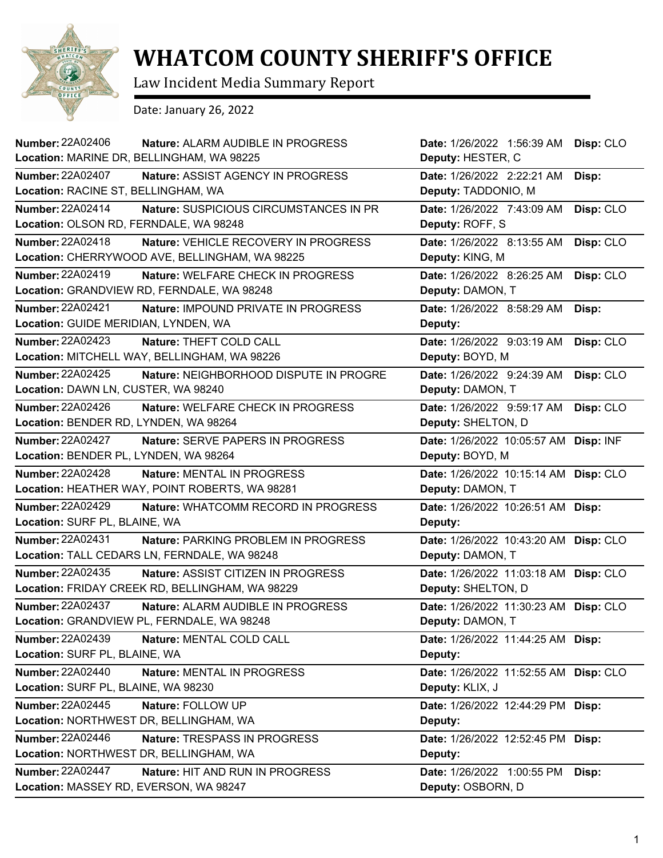

## **WHATCOM COUNTY SHERIFF'S OFFICE**

Law Incident Media Summary Report

Date: January 26, 2022

| <b>Number: 22A02406</b><br>Nature: ALARM AUDIBLE IN PROGRESS<br>Location: MARINE DR, BELLINGHAM, WA 98225      | Date: 1/26/2022 1:56:39 AM<br>Deputy: HESTER, C             | Disp: CLO |
|----------------------------------------------------------------------------------------------------------------|-------------------------------------------------------------|-----------|
| <b>Number: 22A02407</b><br>Nature: ASSIST AGENCY IN PROGRESS<br>Location: RACINE ST, BELLINGHAM, WA            | Date: 1/26/2022 2:22:21 AM<br>Deputy: TADDONIO, M           | Disp:     |
| <b>Number: 22A02414</b><br>Nature: SUSPICIOUS CIRCUMSTANCES IN PR<br>Location: OLSON RD, FERNDALE, WA 98248    | Date: 1/26/2022 7:43:09 AM<br>Deputy: ROFF, S               | Disp: CLO |
| Number: 22A02418<br>Nature: VEHICLE RECOVERY IN PROGRESS<br>Location: CHERRYWOOD AVE, BELLINGHAM, WA 98225     | Date: 1/26/2022 8:13:55 AM<br>Deputy: KING, M               | Disp: CLO |
| Number: 22A02419<br>Nature: WELFARE CHECK IN PROGRESS<br>Location: GRANDVIEW RD, FERNDALE, WA 98248            | Date: 1/26/2022 8:26:25 AM<br>Deputy: DAMON, T              | Disp: CLO |
| Number: 22A02421<br>Nature: IMPOUND PRIVATE IN PROGRESS<br>Location: GUIDE MERIDIAN, LYNDEN, WA                | Date: 1/26/2022 8:58:29 AM<br>Deputy:                       | Disp:     |
| <b>Number: 22A02423</b><br>Nature: THEFT COLD CALL<br>Location: MITCHELL WAY, BELLINGHAM, WA 98226             | Date: 1/26/2022 9:03:19 AM<br>Deputy: BOYD, M               | Disp: CLO |
| <b>Number: 22A02425</b><br>Nature: NEIGHBORHOOD DISPUTE IN PROGRE<br>Location: DAWN LN, CUSTER, WA 98240       | Date: 1/26/2022 9:24:39 AM<br>Deputy: DAMON, T              | Disp: CLO |
| Number: 22A02426<br>Nature: WELFARE CHECK IN PROGRESS<br>Location: BENDER RD, LYNDEN, WA 98264                 | Date: 1/26/2022 9:59:17 AM<br>Deputy: SHELTON, D            | Disp: CLO |
| <b>Number: 22A02427</b><br>Nature: SERVE PAPERS IN PROGRESS<br>Location: BENDER PL, LYNDEN, WA 98264           | Date: 1/26/2022 10:05:57 AM Disp: INF<br>Deputy: BOYD, M    |           |
| <b>Number: 22A02428</b><br>Nature: MENTAL IN PROGRESS<br>Location: HEATHER WAY, POINT ROBERTS, WA 98281        | Date: 1/26/2022 10:15:14 AM Disp: CLO<br>Deputy: DAMON, T   |           |
| <b>Number: 22A02429</b><br>Nature: WHATCOMM RECORD IN PROGRESS<br>Location: SURF PL, BLAINE, WA                | Date: 1/26/2022 10:26:51 AM Disp:<br>Deputy:                |           |
| <b>Number: 22A02431</b><br>Nature: PARKING PROBLEM IN PROGRESS<br>Location: TALL CEDARS LN, FERNDALE, WA 98248 | Date: 1/26/2022 10:43:20 AM Disp: CLO<br>Deputy: DAMON, T   |           |
| Number: 22A02435<br>Nature: ASSIST CITIZEN IN PROGRESS<br>Location: FRIDAY CREEK RD, BELLINGHAM, WA 98229      | Date: 1/26/2022 11:03:18 AM Disp: CLO<br>Deputy: SHELTON, D |           |
| Number: 22A02437<br>Nature: ALARM AUDIBLE IN PROGRESS<br>Location: GRANDVIEW PL, FERNDALE, WA 98248            | Date: 1/26/2022 11:30:23 AM Disp: CLO<br>Deputy: DAMON, T   |           |
| Number: 22A02439<br>Nature: MENTAL COLD CALL<br>Location: SURF PL, BLAINE, WA                                  | Date: 1/26/2022 11:44:25 AM Disp:<br>Deputy:                |           |
| Number: 22A02440<br>Nature: MENTAL IN PROGRESS<br>Location: SURF PL, BLAINE, WA 98230                          | Date: 1/26/2022 11:52:55 AM Disp: CLO<br>Deputy: KLIX, J    |           |
| <b>Number: 22A02445</b><br>Nature: FOLLOW UP<br>Location: NORTHWEST DR, BELLINGHAM, WA                         | Date: 1/26/2022 12:44:29 PM Disp:<br>Deputy:                |           |
| Number: 22A02446<br>Nature: TRESPASS IN PROGRESS<br>Location: NORTHWEST DR, BELLINGHAM, WA                     | Date: 1/26/2022 12:52:45 PM Disp:<br>Deputy:                |           |
| <b>Number: 22A02447</b><br>Nature: HIT AND RUN IN PROGRESS<br>Location: MASSEY RD, EVERSON, WA 98247           | Date: 1/26/2022 1:00:55 PM<br>Deputy: OSBORN, D             | Disp:     |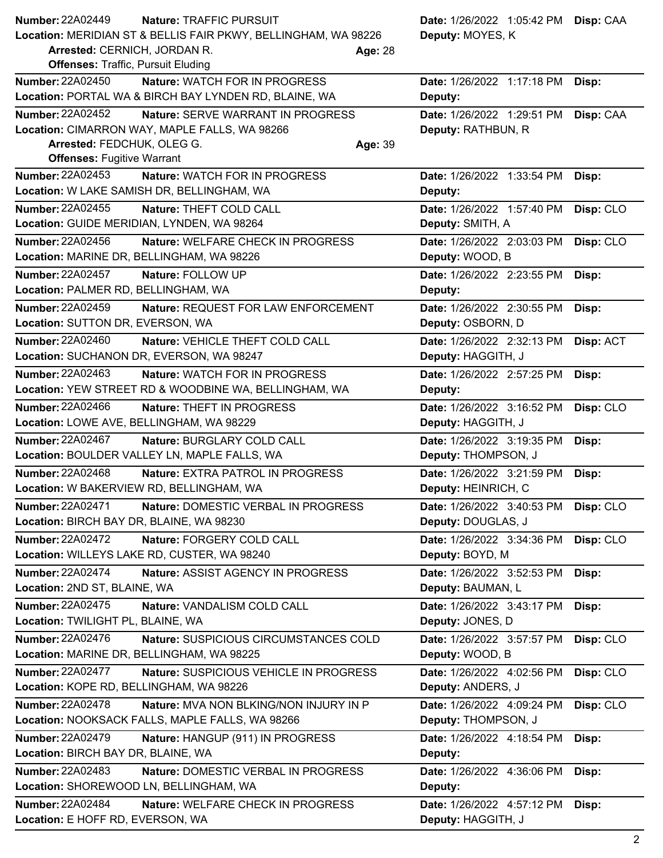| Number: 22A02449<br><b>Nature: TRAFFIC PURSUIT</b>                     | Date: 1/26/2022 1:05:42 PM Disp: CAA    |
|------------------------------------------------------------------------|-----------------------------------------|
| Location: MERIDIAN ST & BELLIS FAIR PKWY, BELLINGHAM, WA 98226         | Deputy: MOYES, K                        |
| Arrested: CERNICH, JORDAN R.<br>Age: 28                                |                                         |
| <b>Offenses: Traffic, Pursuit Eluding</b>                              |                                         |
| <b>Number: 22A02450</b><br>Nature: WATCH FOR IN PROGRESS               | Date: 1/26/2022 1:17:18 PM<br>Disp:     |
| Location: PORTAL WA & BIRCH BAY LYNDEN RD, BLAINE, WA                  | Deputy:                                 |
| <b>Number: 22A02452</b><br>Nature: SERVE WARRANT IN PROGRESS           | Date: 1/26/2022 1:29:51 PM<br>Disp: CAA |
| Location: CIMARRON WAY, MAPLE FALLS, WA 98266                          | Deputy: RATHBUN, R                      |
| Arrested: FEDCHUK, OLEG G.<br>Age: 39                                  |                                         |
| <b>Offenses: Fugitive Warrant</b>                                      |                                         |
| <b>Number: 22A02453</b><br>Nature: WATCH FOR IN PROGRESS               | Date: 1/26/2022 1:33:54 PM<br>Disp:     |
| Location: W LAKE SAMISH DR, BELLINGHAM, WA                             | Deputy:                                 |
| <b>Number: 22A02455</b><br>Nature: THEFT COLD CALL                     | Disp: CLO<br>Date: 1/26/2022 1:57:40 PM |
| Location: GUIDE MERIDIAN, LYNDEN, WA 98264                             | Deputy: SMITH, A                        |
| <b>Number: 22A02456</b><br>Nature: WELFARE CHECK IN PROGRESS           | Disp: CLO<br>Date: 1/26/2022 2:03:03 PM |
| Location: MARINE DR, BELLINGHAM, WA 98226                              | Deputy: WOOD, B                         |
| <b>Number: 22A02457</b><br>Nature: FOLLOW UP                           | Date: 1/26/2022 2:23:55 PM<br>Disp:     |
| Location: PALMER RD, BELLINGHAM, WA                                    | Deputy:                                 |
| <b>Number: 22A02459</b><br>Nature: REQUEST FOR LAW ENFORCEMENT         | Date: 1/26/2022 2:30:55 PM<br>Disp:     |
| Location: SUTTON DR, EVERSON, WA                                       | Deputy: OSBORN, D                       |
| <b>Number: 22A02460</b><br>Nature: VEHICLE THEFT COLD CALL             | Date: 1/26/2022 2:32:13 PM<br>Disp: ACT |
| Location: SUCHANON DR, EVERSON, WA 98247                               | Deputy: HAGGITH, J                      |
| Number: 22A02463<br>Nature: WATCH FOR IN PROGRESS                      | Date: 1/26/2022 2:57:25 PM<br>Disp:     |
| Location: YEW STREET RD & WOODBINE WA, BELLINGHAM, WA                  | Deputy:                                 |
| <b>Number: 22A02466</b><br>Nature: THEFT IN PROGRESS                   | Date: 1/26/2022 3:16:52 PM<br>Disp: CLO |
| Location: LOWE AVE, BELLINGHAM, WA 98229                               | Deputy: HAGGITH, J                      |
| Number: 22A02467<br>Nature: BURGLARY COLD CALL                         | Date: 1/26/2022 3:19:35 PM<br>Disp:     |
| Location: BOULDER VALLEY LN, MAPLE FALLS, WA                           | Deputy: THOMPSON, J                     |
| Number: 22A02468<br>Nature: EXTRA PATROL IN PROGRESS                   | Date: 1/26/2022 3:21:59 PM<br>Disp:     |
| Location: W BAKERVIEW RD, BELLINGHAM, WA                               | Deputy: HEINRICH, C                     |
| Number: 22A02471<br>Nature: DOMESTIC VERBAL IN PROGRESS                | Date: 1/26/2022 3:40:53 PM<br>Disp: CLO |
| Location: BIRCH BAY DR, BLAINE, WA 98230                               | Deputy: DOUGLAS, J                      |
| Number: 22A02472<br>Nature: FORGERY COLD CALL                          | Date: 1/26/2022 3:34:36 PM<br>Disp: CLO |
| Location: WILLEYS LAKE RD, CUSTER, WA 98240                            | Deputy: BOYD, M                         |
| Number: 22A02474<br>Nature: ASSIST AGENCY IN PROGRESS                  | Date: 1/26/2022 3:52:53 PM<br>Disp:     |
| Location: 2ND ST, BLAINE, WA                                           | Deputy: BAUMAN, L                       |
| <b>Number: 22A02475</b><br>Nature: VANDALISM COLD CALL                 | Date: 1/26/2022 3:43:17 PM<br>Disp:     |
| Location: TWILIGHT PL, BLAINE, WA                                      | Deputy: JONES, D                        |
| <b>Number: 22A02476</b><br>Nature: SUSPICIOUS CIRCUMSTANCES COLD       | Date: 1/26/2022 3:57:57 PM<br>Disp: CLO |
| Location: MARINE DR, BELLINGHAM, WA 98225                              | Deputy: WOOD, B                         |
| <b>Number: 22A02477</b><br>Nature: SUSPICIOUS VEHICLE IN PROGRESS      | Date: 1/26/2022 4:02:56 PM<br>Disp: CLO |
| Location: KOPE RD, BELLINGHAM, WA 98226                                | Deputy: ANDERS, J                       |
| Number: 22A02478<br>Nature: MVA NON BLKING/NON INJURY IN P             | Date: 1/26/2022 4:09:24 PM<br>Disp: CLO |
| Location: NOOKSACK FALLS, MAPLE FALLS, WA 98266                        | Deputy: THOMPSON, J                     |
| Number: 22A02479                                                       |                                         |
| Nature: HANGUP (911) IN PROGRESS<br>Location: BIRCH BAY DR, BLAINE, WA | Date: 1/26/2022 4:18:54 PM<br>Disp:     |
|                                                                        | Deputy:                                 |
| Number: 22A02483<br>Nature: DOMESTIC VERBAL IN PROGRESS                | Date: 1/26/2022 4:36:06 PM<br>Disp:     |
| Location: SHOREWOOD LN, BELLINGHAM, WA                                 | Deputy:                                 |
| Number: 22A02484<br>Nature: WELFARE CHECK IN PROGRESS                  | Date: 1/26/2022 4:57:12 PM<br>Disp:     |
| Location: E HOFF RD, EVERSON, WA                                       | Deputy: HAGGITH, J                      |